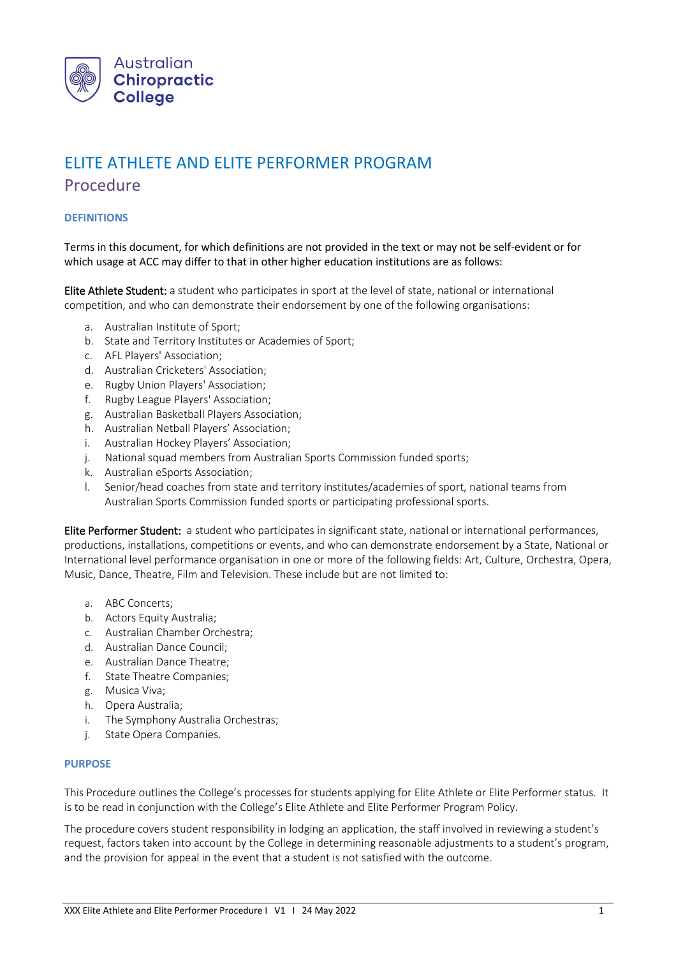

# ELITE ATHLETE AND ELITE PERFORMER PROGRAM Procedure

# **DEFINITIONS**

Terms in this document, for which definitions are not provided in the text or may not be self-evident or for which usage at ACC may differ to that in other higher education institutions are as follows:

Elite Athlete Student: a student who participates in sport at the level of state, national or international competition, and who can demonstrate their endorsement by one of the following organisations:

- a. Australian Institute of Sport;
- b. State and Territory Institutes or Academies of Sport;
- c. AFL Players' Association;
- d. Australian Cricketers' Association;
- e. Rugby Union Players' Association;
- f. Rugby League Players' Association;
- g. Australian Basketball Players Association;
- h. Australian Netball Players' Association;
- i. Australian Hockey Players' Association;
- j. National squad members from Australian Sports Commission funded sports;
- k. Australian eSports Association;
- l. Senior/head coaches from state and territory institutes/academies of sport, national teams from Australian Sports Commission funded sports or participating professional sports.

Elite Performer Student: a student who participates in significant state, national or international performances, productions, installations, competitions or events, and who can demonstrate endorsement by a State, National or International level performance organisation in one or more of the following fields: Art, Culture, Orchestra, Opera, Music, Dance, Theatre, Film and Television. These include but are not limited to:

- a. ABC Concerts;
- b. Actors Equity Australia;
- c. Australian Chamber Orchestra;
- d. Australian Dance Council;
- e. Australian Dance Theatre;
- f. State Theatre Companies;
- g. Musica Viva;
- h. Opera Australia;
- i. The Symphony Australia Orchestras;
- j. State Opera Companies.

# **PURPOSE**

This Procedure outlines the College's processes for students applying for Elite Athlete or Elite Performer status. It is to be read in conjunction with the College's Elite Athlete and Elite Performer Program Policy.

The procedure covers student responsibility in lodging an application, the staff involved in reviewing a student's request, factors taken into account by the College in determining reasonable adjustments to a student's program, and the provision for appeal in the event that a student is not satisfied with the outcome.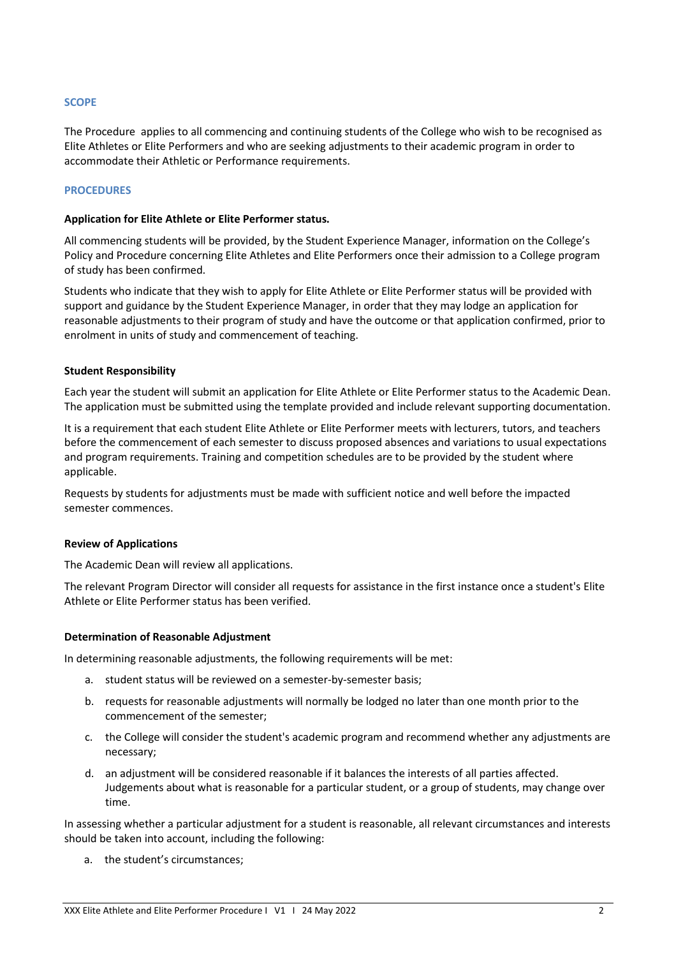# **SCOPE**

The Procedure applies to all commencing and continuing students of the College who wish to be recognised as Elite Athletes or Elite Performers and who are seeking adjustments to their academic program in order to accommodate their Athletic or Performance requirements.

# **PROCEDURES**

#### **Application for Elite Athlete or Elite Performer status.**

All commencing students will be provided, by the Student Experience Manager, information on the College's Policy and Procedure concerning Elite Athletes and Elite Performers once their admission to a College program of study has been confirmed.

Students who indicate that they wish to apply for Elite Athlete or Elite Performer status will be provided with support and guidance by the Student Experience Manager, in order that they may lodge an application for reasonable adjustments to their program of study and have the outcome or that application confirmed, prior to enrolment in units of study and commencement of teaching.

#### **Student Responsibility**

Each year the student will submit an application for Elite Athlete or Elite Performer status to the Academic Dean. The application must be submitted using the template provided and include relevant supporting documentation.

It is a requirement that each student Elite Athlete or Elite Performer meets with lecturers, tutors, and teachers before the commencement of each semester to discuss proposed absences and variations to usual expectations and program requirements. Training and competition schedules are to be provided by the student where applicable.

Requests by students for adjustments must be made with sufficient notice and well before the impacted semester commences.

#### **Review of Applications**

The Academic Dean will review all applications.

The relevant Program Director will consider all requests for assistance in the first instance once a student's Elite Athlete or Elite Performer status has been verified.

#### **Determination of Reasonable Adjustment**

In determining reasonable adjustments, the following requirements will be met:

- a. student status will be reviewed on a semester-by-semester basis;
- b. requests for reasonable adjustments will normally be lodged no later than one month prior to the commencement of the semester;
- c. the College will consider the student's academic program and recommend whether any adjustments are necessary;
- d. an adjustment will be considered reasonable if it balances the interests of all parties affected. Judgements about what is reasonable for a particular student, or a group of students, may change over time.

In assessing whether a particular adjustment for a student is reasonable, all relevant circumstances and interests should be taken into account, including the following:

a. the student's circumstances;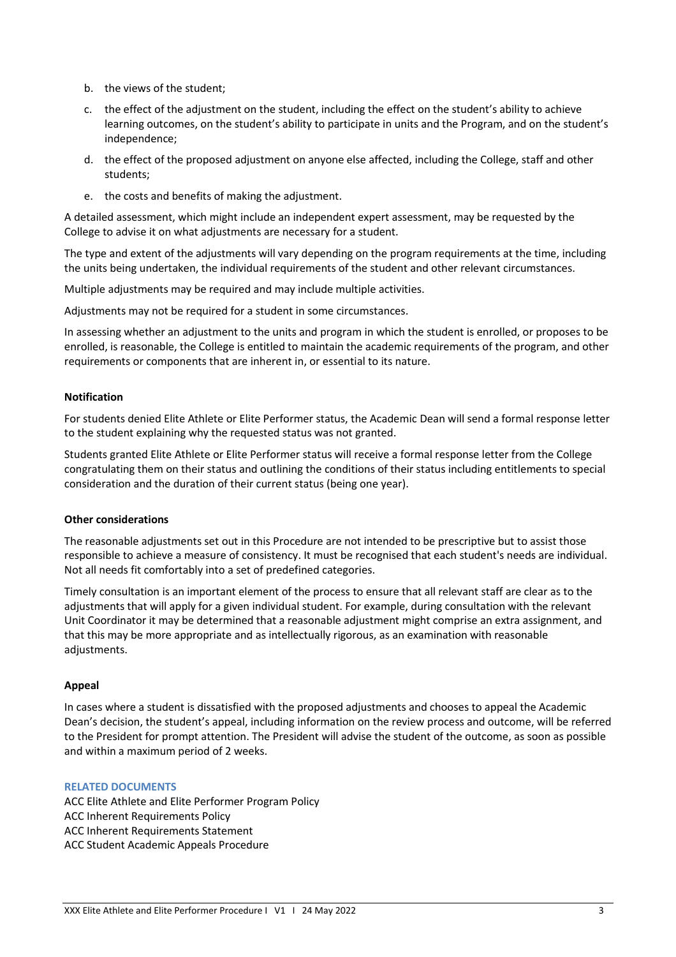- b. the views of the student;
- c. the effect of the adjustment on the student, including the effect on the student's ability to achieve learning outcomes, on the student's ability to participate in units and the Program, and on the student's independence;
- d. the effect of the proposed adjustment on anyone else affected, including the College, staff and other students;
- e. the costs and benefits of making the adjustment.

A detailed assessment, which might include an independent expert assessment, may be requested by the College to advise it on what adjustments are necessary for a student.

The type and extent of the adjustments will vary depending on the program requirements at the time, including the units being undertaken, the individual requirements of the student and other relevant circumstances.

Multiple adjustments may be required and may include multiple activities.

Adjustments may not be required for a student in some circumstances.

In assessing whether an adjustment to the units and program in which the student is enrolled, or proposes to be enrolled, is reasonable, the College is entitled to maintain the academic requirements of the program, and other requirements or components that are inherent in, or essential to its nature.

# **Notification**

For students denied Elite Athlete or Elite Performer status, the Academic Dean will send a formal response letter to the student explaining why the requested status was not granted.

Students granted Elite Athlete or Elite Performer status will receive a formal response letter from the College congratulating them on their status and outlining the conditions of their status including entitlements to special consideration and the duration of their current status (being one year).

#### **Other considerations**

The reasonable adjustments set out in this Procedure are not intended to be prescriptive but to assist those responsible to achieve a measure of consistency. It must be recognised that each student's needs are individual. Not all needs fit comfortably into a set of predefined categories.

Timely consultation is an important element of the process to ensure that all relevant staff are clear as to the adjustments that will apply for a given individual student. For example, during consultation with the relevant Unit Coordinator it may be determined that a reasonable adjustment might comprise an extra assignment, and that this may be more appropriate and as intellectually rigorous, as an examination with reasonable adjustments.

# **Appeal**

In cases where a student is dissatisfied with the proposed adjustments and chooses to appeal the Academic Dean's decision, the student's appeal, including information on the review process and outcome, will be referred to the President for prompt attention. The President will advise the student of the outcome, as soon as possible and within a maximum period of 2 weeks.

#### **RELATED DOCUMENTS**

ACC Elite Athlete and Elite Performer Program Policy ACC Inherent Requirements Policy ACC Inherent Requirements Statement ACC Student Academic Appeals Procedure